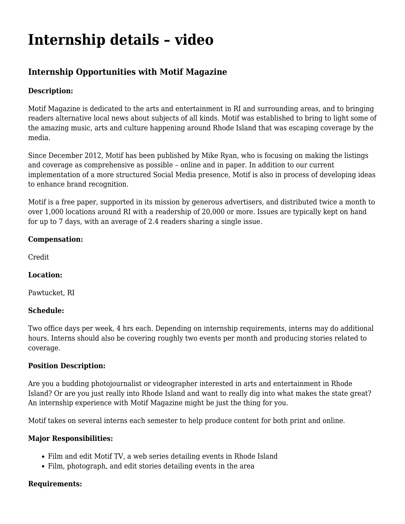# **[Internship details – video](https://motifri.com/internship-details-video/)**

# **Internship Opportunities with Motif Magazine**

### **Description:**

Motif Magazine is dedicated to the arts and entertainment in RI and surrounding areas, and to bringing readers alternative local news about subjects of all kinds. Motif was established to bring to light some of the amazing music, arts and culture happening around Rhode Island that was escaping coverage by the media.

Since December 2012, Motif has been published by Mike Ryan, who is focusing on making the listings and coverage as comprehensive as possible – online and in paper. In addition to our current implementation of a more structured Social Media presence, Motif is also in process of developing ideas to enhance brand recognition.

Motif is a free paper, supported in its mission by generous advertisers, and distributed twice a month to over 1,000 locations around RI with a readership of 20,000 or more. Issues are typically kept on hand for up to 7 days, with an average of 2.4 readers sharing a single issue.

#### **Compensation:**

Credit

## **Location:**

Pawtucket, RI

#### **Schedule:**

Two office days per week, 4 hrs each. Depending on internship requirements, interns may do additional hours. Interns should also be covering roughly two events per month and producing stories related to coverage.

#### **Position Description:**

Are you a budding photojournalist or videographer interested in arts and entertainment in Rhode Island? Or are you just really into Rhode Island and want to really dig into what makes the state great? An internship experience with Motif Magazine might be just the thing for you.

Motif takes on several interns each semester to help produce content for both print and online.

#### **Major Responsibilities:**

- Film and edit Motif TV, a web series detailing events in Rhode Island
- Film, photograph, and edit stories detailing events in the area

#### **Requirements:**